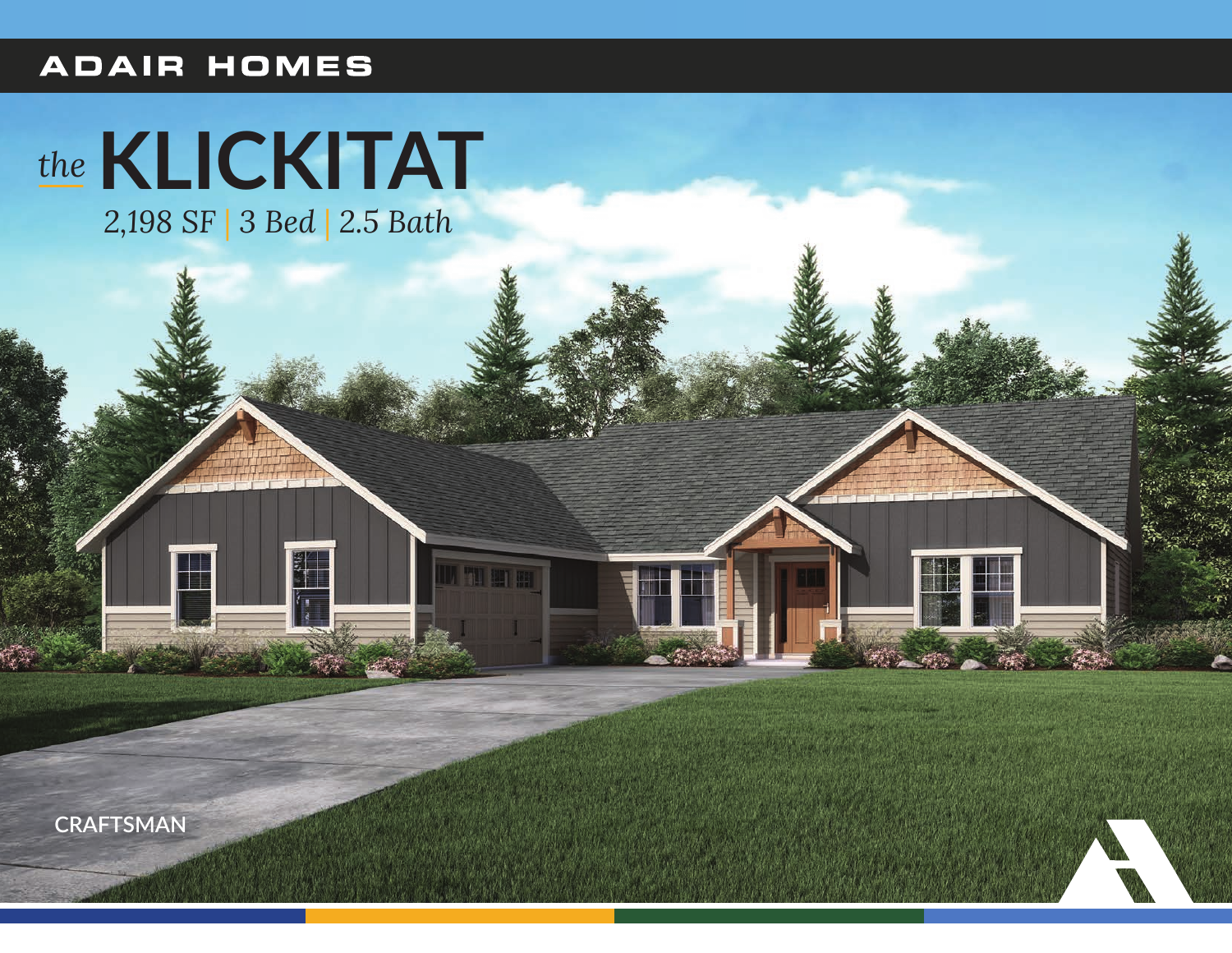## **ADAIR HOMES**

# the KLICKITAT

2,198 SF | 3 Bed | 2.5 Bath



H